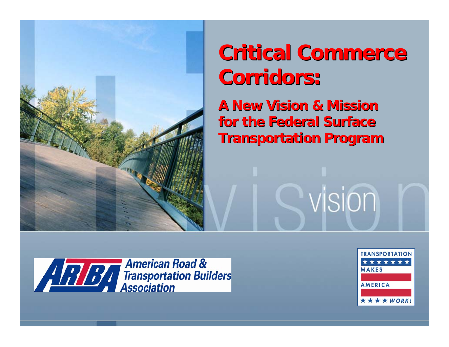

### **Critical Commerce Corridors: Corridors:**

vision

**A New Vision & Mission A New Vision & Mission for the Federal Surface Transportation Program Transportation Program**



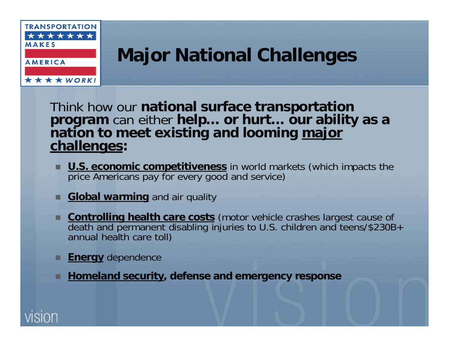

#### **Major National Challenges**

Think how our **national surface transportation program** can either **help… or hurt… our ability as a nation to meet existing and looming major challenges:**

- **U.S. economic competitiveness** in world markets (which impacts the price Americans pay for every good and service)
- **Global warming** and air quality
- **Controlling health care costs** (motor vehicle crashes largest cause of death and permanent disabling injuries to U.S. children and teens/\$230B+<br>annual health care toll)
- **Energy** dependence
- **Homeland security, defense and emergency response**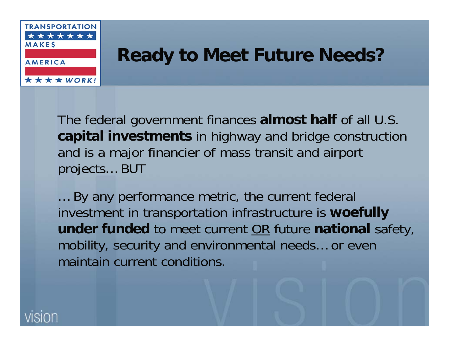

#### **Ready to Meet Future Needs?**

The federal government finances **almost half** of all U.S. **capital investments** in highway and bridge construction and is a major financier of mass transit and airport projects… BUT

… By any performance metric, the current federal investment in transportation infrastructure is **woefully under funded** to meet current OR future **national** safety, mobility, security and environmental needs… or even maintain current conditions.

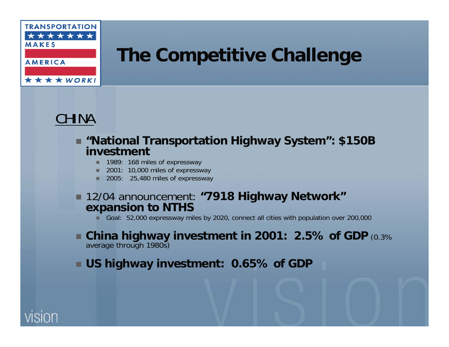

\*\*\*\*WORK!

**AMERICA** 

**The Competitive Challenge**



- **"National Transportation Highway System": \$150B investment**
	- 1989: 168 miles of expressway
	- 2001: 10,000 miles of expressway
	- 2005: 25,480 miles of expressway
- 12/04 announcement: **"7918 Highway Network" expansion to NTHS**
	- Goal: 52,000 expressway miles by 2020, connect all cities with population over 200,000
- **China highway investment in 2001: 2.5% of GDP** (0.3% average through 1980s)
- **US highway investment: 0.65% of GDP**

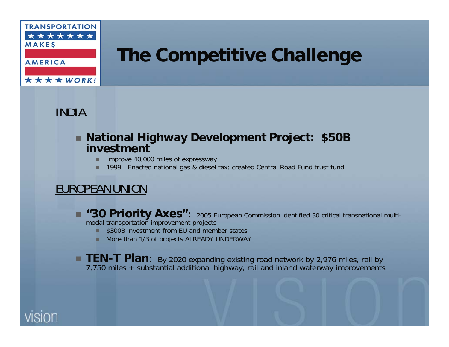

\*\*\*\*WORK!

#### **The Competitive Challenge**



#### **National Highway Development Project: \$50B investment**

- Improve 40,000 miles of expressway
- 1999: Enacted national gas & diesel tax; created Central Road Fund trust fund

#### EUROPEAN UNION

- **"30 Priority Axes"**: 2005 European Commission identified 30 critical transnational multi- modal transportation improvement projects
	- \$300B investment from EU and member states
	- More than 1/3 of projects ALREADY UNDERWAY
- **TEN-T Plan**: By 2020 expanding existing road network by 2,976 miles, rail by 7,750 miles + substantial additional highway, rail and inland waterway improvements

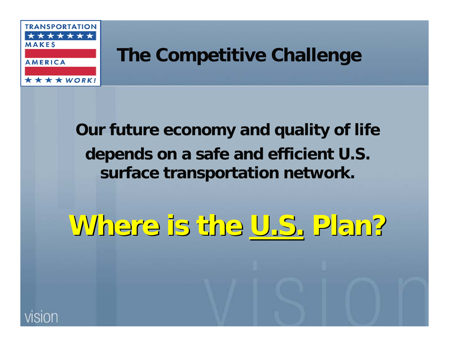

#### **The Competitive Challenge**

**Our future economy and quality of life depends on a safe and efficient U.S. surface transportation network.**

# **Where is the Where is the U.S. Plan?**

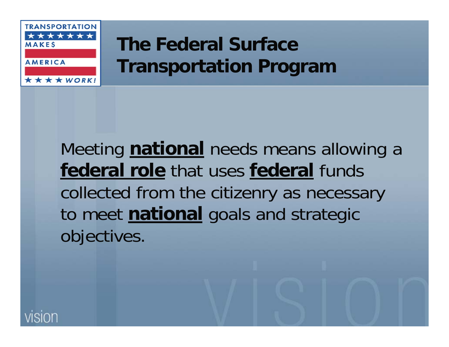

#### **The Federal Surface Transportation Program**

Meeting **national** needs means allowing a **federal role** that uses **federal** funds collected from the citizenry as necessary to meet **national** goals and strategic objectives.

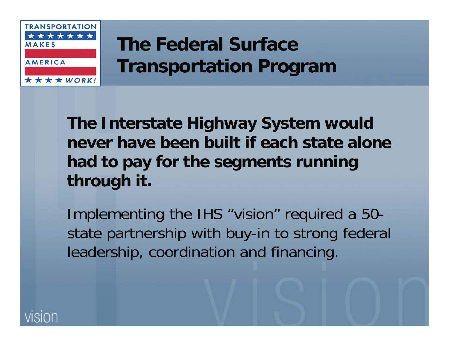

#### **The Federal Surface Transportation Program**

**The Interstate Highway System would never have been built if each state alone had to pay for the segments running through it.**

Implementing the IHS "vision" required a 50 state partnership with buy-in to strong federal leadership, coordination and financing.

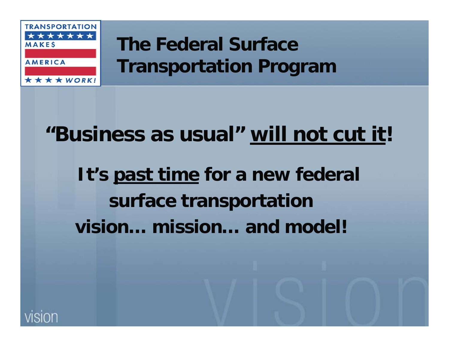

#### **The Federal Surface Transportation Program**

#### **"Business as usual" will not cut it!**

### **It's past time for a new federal surface transportation vision… mission… and model!**

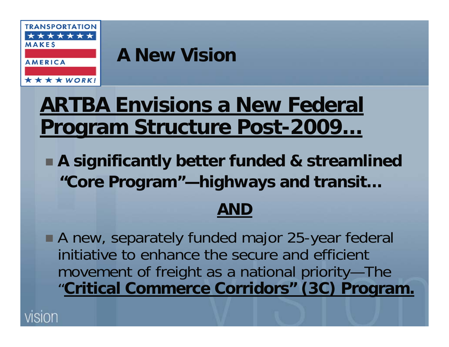

#### **A New Vision**

### **ARTBA Envisions a New Federal Program Structure Post-2009…**

 **A significantly better funded & streamlined "Core Program"—highways and transit…**

#### **AND**

■ A new, separately funded major 25-year federal initiative to enhance the secure and efficient movement of freight as a national priority—The "**Critical Commerce Corridors" (3C) Program.** 

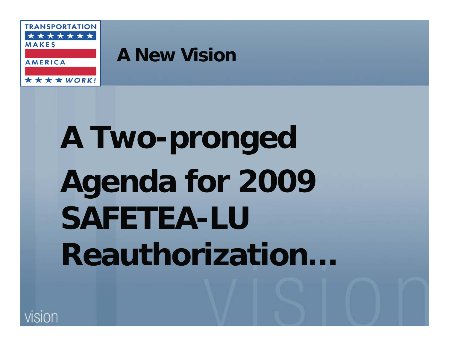

#### **A New Vision**

# **A Two-pronged Agenda for 2009 SAFETEA-LU Reauthorization…**

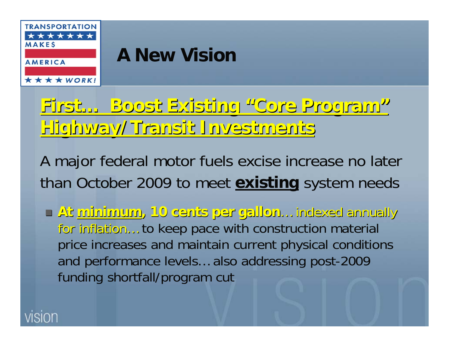

#### **A New Vision**

**First… Boost Existing Boost Existing "Core Program Core Program" Highway/Transit Investments Highway/Transit Investments**

A major federal motor fuels excise increase no later than October 2009 to meet **existing** system needs

 **At minimum minimum, 10 cents per gallon 10 cents per gallon**… indexed annually indexed annually for inflation... to keep pace with construction material price increases and maintain current physical conditions and performance levels… also addressing post-2009 funding shortfall/program cut

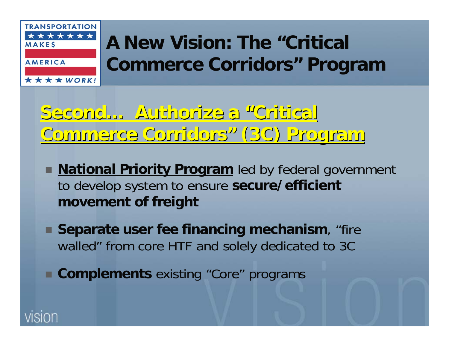

#### **Second … Authorize a Authorize a "Critical Critical Commerce Corridors Commerce Corridors " (3C) Program (3C) Program**

- **National Priority Program** led by federal government to develop system to ensure **secure/efficient movement of freight**
- **Separate user fee financing mechanism, "fire** walled" from core HTF and solely dedicated to 3C
- **Complements** existing "Core" programs

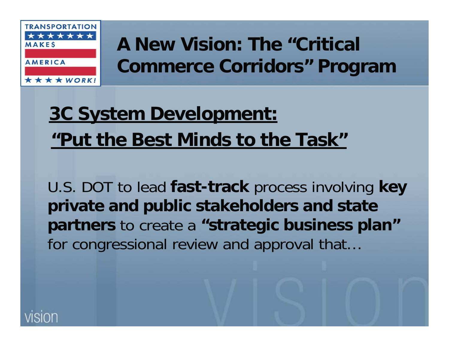

### **3C System Development: "Put the Best Minds to the Task"**

U.S. DOT to lead **fast-track** process involving **key private and public stakeholders and state partners** to create a **"strategic business plan"** for congressional review and approval that…

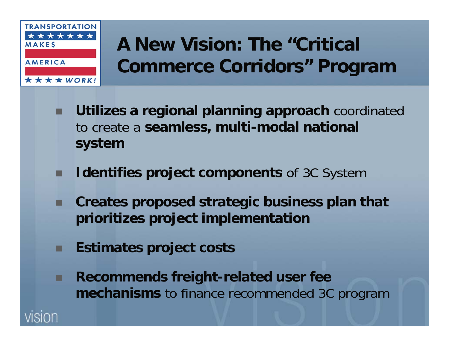

- **Utilizes a regional planning approach** coordinated to create a **seamless, multi-modal national system**
- п **Identifies project components** of 3C System
- Creates proposed strategic business plan that **prioritizes project implementation**
- п **Estimates project costs**
- п **Recommends freight-related user fee mechanisms** to finance recommended 3C program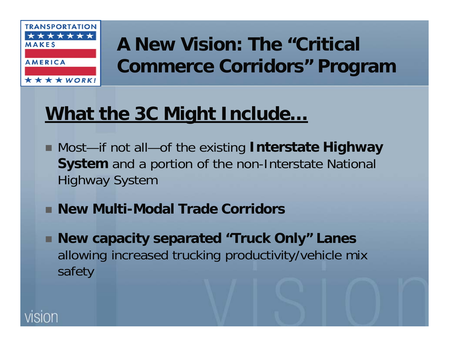

#### **What the 3C Might Include…**

- Most—if not all—of the existing **Interstate Highway System** and a portion of the non-Interstate National Highway System
- **New Multi-Modal Trade Corridors**
- **New capacity separated "Truck Only" Lanes** allowing increased trucking productivity/vehicle mix safety

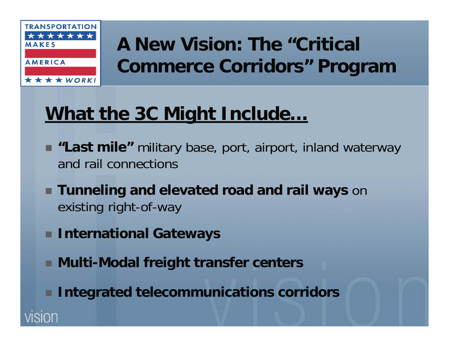

### **What the 3C Might Include…**

- "Last mile" military base, port, airport, inland waterway and rail connections
- **Tunneling and elevated road and rail ways** on existing right-of-way
- **International Gateways**
- **Multi-Modal freight transfer centers**
- **Integrated telecommunications corridors**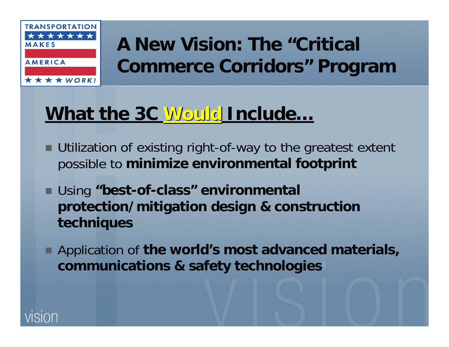

#### What the 3C Would **Include**…

- **Utilization of existing right-of-way to the greatest extent** possible to **minimize environmental footprint**
- Using **"best-of-class" environmental protection/mitigation design & construction techniques**
- Application of **the world's most advanced materials**, **communications & safety technologies**

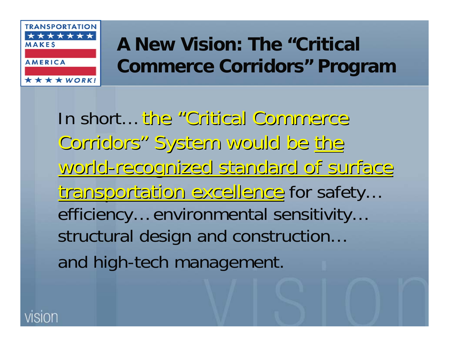

In short… the "Critical Commerce Corridors" System would be the world -recognized standard of surface recognized standard of surface transportation excellence for safety… efficiency… environmental sensitivity… structural design and construction… and high-tech management.

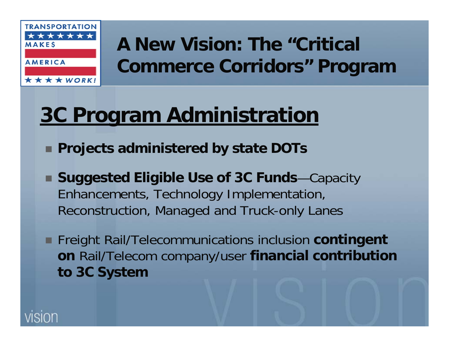

### **3C Program Administration**

- **Projects administered by state DOTs**
- Suggested Eligible Use of 3C Funds—Capacity Enhancements, Technology Implementation, Reconstruction, Managed and Truck-only Lanes
- Freight Rail/Telecommunications inclusion **contingent on** Rail/Telecom company/user **financial contribution to 3C System**

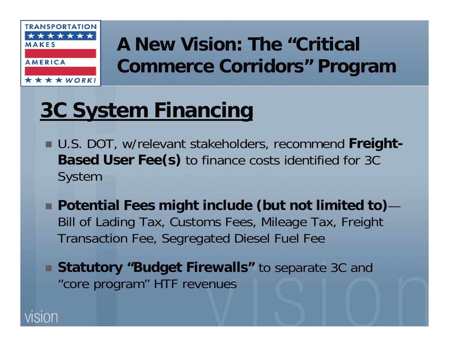

\*\*\*\*WORK!

#### **A New Vision: The "Critical Commerce Corridors" Program**

## **3C System Financing**

- U.S. DOT, w/relevant stakeholders, recommend **Freight-Based User Fee(s)** to finance costs identified for 3C System
- **Potential Fees might include (but not limited to)** — Bill of Lading Tax, Customs Fees, Mileage Tax, Freight Transaction Fee, Segregated Diesel Fuel Fee
- **Statutory "Budget Firewalls"** to separate 3C and "core program" HTF revenues

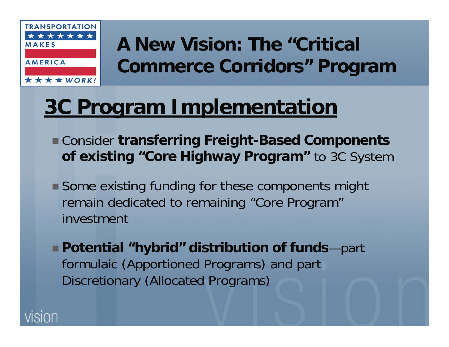

\*\*\*\*WORK!

### **A New Vision: The "Critical Commerce Corridors" Program**

### **3C Program Implementation**

- Consider **transferring Freight-Based Components of existing "Core Highway Program"** to 3C System
- Some existing funding for these components might remain dedicated to remaining "Core Program" investment
- **Potential "hybrid" distribution of funds**—part formulaic (Apportioned Programs) and part Discretionary (Allocated Programs)

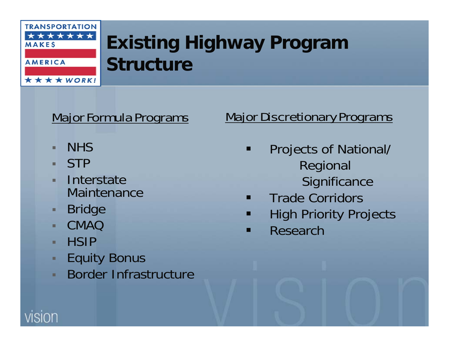#### **TRANSPORTATION** \*\*\*\*\*\*\* **MAKES**

\*\*\*\*WORK!

**AMERICA** 

#### **Existing Highway Program Structure**

#### Major Formula Programs

- **NHS**
- STP
- ш Interstate **Maintenance**
- п Bridge
- CMAQ
- HSIP
- **Equity Bonus**
- a. Border Infrastructure

#### Major Discretionary Programs

- $\blacksquare$  Projects of National/ Regional **Significance**
- $\blacksquare$ Trade Corridors
- $\blacksquare$ High Priority Projects
- П Research

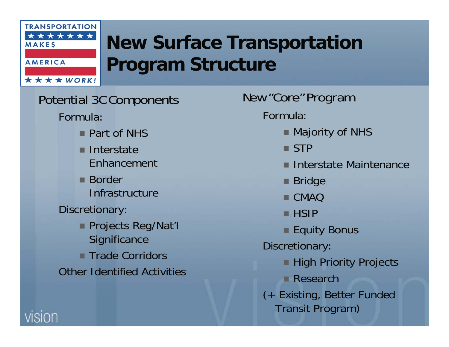

\*\*\*\*WORK!

**AMERICA** 

### **New Surface Transportation Program Structure**

#### Potential 3C Components

- Formula:
	- Part of NHS
	- Interstate Enhancement
	- Border Infrastructure

Discretionary:

- Projects Reg/Nat'l **Significance**
- **Trade Corridors** Other Identified Activities

#### New "Core" Program

Formula:

- Majority of NHS
- STP
- Interstate Maintenance
- П Bridge
- CMAQ
- $\blacksquare$  HSIP
- Equity Bonus
- Discretionary:
	- High Priority Projects
	- Research
- (+ Existing, Better Funded Transit Program)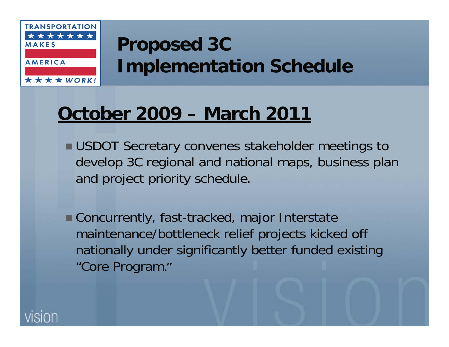

#### **October 2009 – March 2011**

- USDOT Secretary convenes stakeholder meetings to develop 3C regional and national maps, business plan and project priority schedule.
- Concurrently, fast-tracked, major Interstate maintenance/bottleneck relief projects kicked off nationally under significantly better funded existing "Core Program."

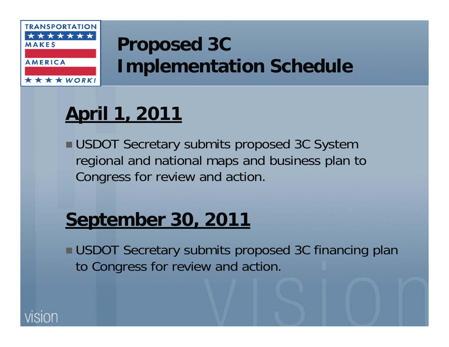

### **April 1, 2011**

 USDOT Secretary submits proposed 3C System regional and national maps and business plan to Congress for review and action.

#### **September 30, 2011**

■ USDOT Secretary submits proposed 3C financing plan to Congress for review and action.

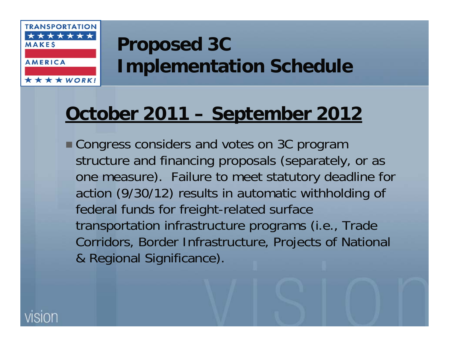

#### **October 2011 – September 2012**

**Congress considers and votes on 3C program** structure and financing proposals (separately, or as one measure). Failure to meet statutory deadline for action (9/30/12) results in automatic withholding of federal funds for freight-related surface transportation infrastructure programs (i.e., Trade Corridors, Border Infrastructure, Projects of National & Regional Significance).

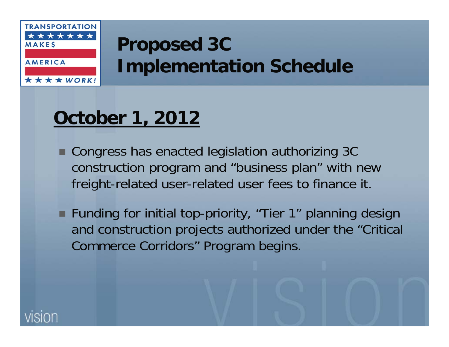

#### **October 1, 2012**

- Congress has enacted legislation authorizing 3C construction program and "business plan" with new freight-related user-related user fees to finance it.
- Funding for initial top-priority, "Tier 1" planning design and construction projects authorized under the "Critical Commerce Corridors" Program begins.